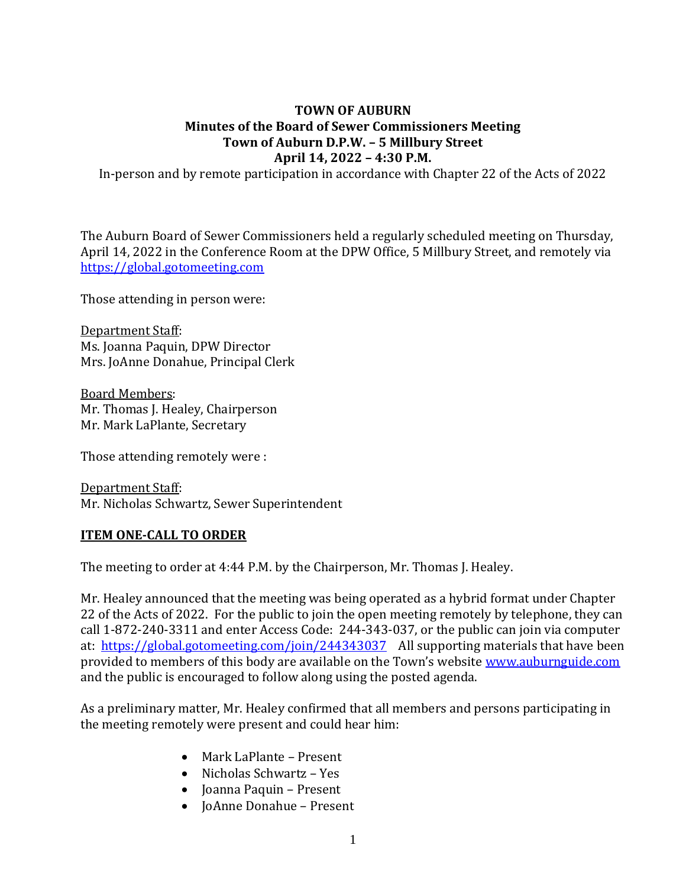#### **TOWN OF AUBURN Minutes of the Board of Sewer Commissioners Meeting Town of Auburn D.P.W. – 5 Millbury Street April 14, 2022 – 4:30 P.M.**

In-person and by remote participation in accordance with Chapter 22 of the Acts of 2022

The Auburn Board of Sewer Commissioners held a regularly scheduled meeting on Thursday, April 14, 2022 in the Conference Room at the DPW Office, 5 Millbury Street, and remotely via [https://global.gotomeeting.com](https://global.gotomeeting.com/)

Those attending in person were:

Department Staff: Ms. Joanna Paquin, DPW Director Mrs. JoAnne Donahue, Principal Clerk

Board Members: Mr. Thomas J. Healey, Chairperson Mr. Mark LaPlante, Secretary

Those attending remotely were :

Department Staff: Mr. Nicholas Schwartz, Sewer Superintendent

#### **ITEM ONE-CALL TO ORDER**

The meeting to order at 4:44 P.M. by the Chairperson, Mr. Thomas J. Healey.

Mr. Healey announced that the meeting was being operated as a hybrid format under Chapter 22 of the Acts of 2022. For the public to join the open meeting remotely by telephone, they can call 1-872-240-3311 and enter Access Code: 244-343-037, or the public can join via computer at: <https://global.gotomeeting.com/join/244343037>All supporting materials that have been provided to members of this body are available on the Town's website [www.auburnguide.com](http://www.auburnguide.com/) and the public is encouraged to follow along using the posted agenda.

As a preliminary matter, Mr. Healey confirmed that all members and persons participating in the meeting remotely were present and could hear him:

- Mark LaPlante Present
- Nicholas Schwartz Yes
- Joanna Paquin Present
- JoAnne Donahue Present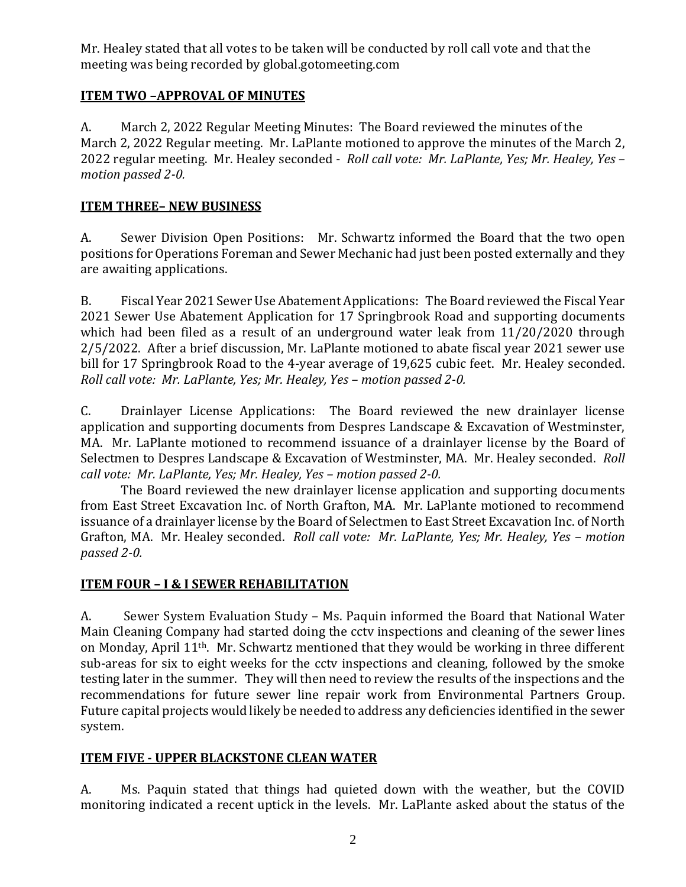Mr. Healey stated that all votes to be taken will be conducted by roll call vote and that the meeting was being recorded by global.gotomeeting.com

# **ITEM TWO –APPROVAL OF MINUTES**

A. March 2, 2022 Regular Meeting Minutes: The Board reviewed the minutes of the March 2, 2022 Regular meeting. Mr. LaPlante motioned to approve the minutes of the March 2, 2022 regular meeting. Mr. Healey seconded - *Roll call vote: Mr. LaPlante, Yes; Mr. Healey, Yes – motion passed 2-0.*

# **ITEM THREE– NEW BUSINESS**

A. Sewer Division Open Positions: Mr. Schwartz informed the Board that the two open positions for Operations Foreman and Sewer Mechanic had just been posted externally and they are awaiting applications.

B. Fiscal Year 2021 Sewer Use Abatement Applications: The Board reviewed the Fiscal Year 2021 Sewer Use Abatement Application for 17 Springbrook Road and supporting documents which had been filed as a result of an underground water leak from 11/20/2020 through 2/5/2022. After a brief discussion, Mr. LaPlante motioned to abate fiscal year 2021 sewer use bill for 17 Springbrook Road to the 4-year average of 19,625 cubic feet. Mr. Healey seconded. *Roll call vote: Mr. LaPlante, Yes; Mr. Healey, Yes - motion passed 2-0.* 

C. Drainlayer License Applications: The Board reviewed the new drainlayer license application and supporting documents from Despres Landscape & Excavation of Westminster, MA. Mr. LaPlante motioned to recommend issuance of a drainlayer license by the Board of Selectmen to Despres Landscape & Excavation of Westminster, MA. Mr. Healey seconded. *Roll call vote: Mr. LaPlante, Yes; Mr. Healey, Yes – motion passed 2-0.*

The Board reviewed the new drainlayer license application and supporting documents from East Street Excavation Inc. of North Grafton, MA. Mr. LaPlante motioned to recommend issuance of a drainlayer license by the Board of Selectmen to East Street Excavation Inc. of North Grafton, MA. Mr. Healey seconded. *Roll call vote: Mr. LaPlante, Yes; Mr. Healey, Yes – motion passed 2-0.*

## **ITEM FOUR – I & I SEWER REHABILITATION**

A. Sewer System Evaluation Study – Ms. Paquin informed the Board that National Water Main Cleaning Company had started doing the cctv inspections and cleaning of the sewer lines on Monday, April 11th. Mr. Schwartz mentioned that they would be working in three different sub-areas for six to eight weeks for the cctv inspections and cleaning, followed by the smoke testing later in the summer. They will then need to review the results of the inspections and the recommendations for future sewer line repair work from Environmental Partners Group. Future capital projects would likely be needed to address any deficiencies identified in the sewer system.

## **ITEM FIVE - UPPER BLACKSTONE CLEAN WATER**

A. Ms. Paquin stated that things had quieted down with the weather, but the COVID monitoring indicated a recent uptick in the levels. Mr. LaPlante asked about the status of the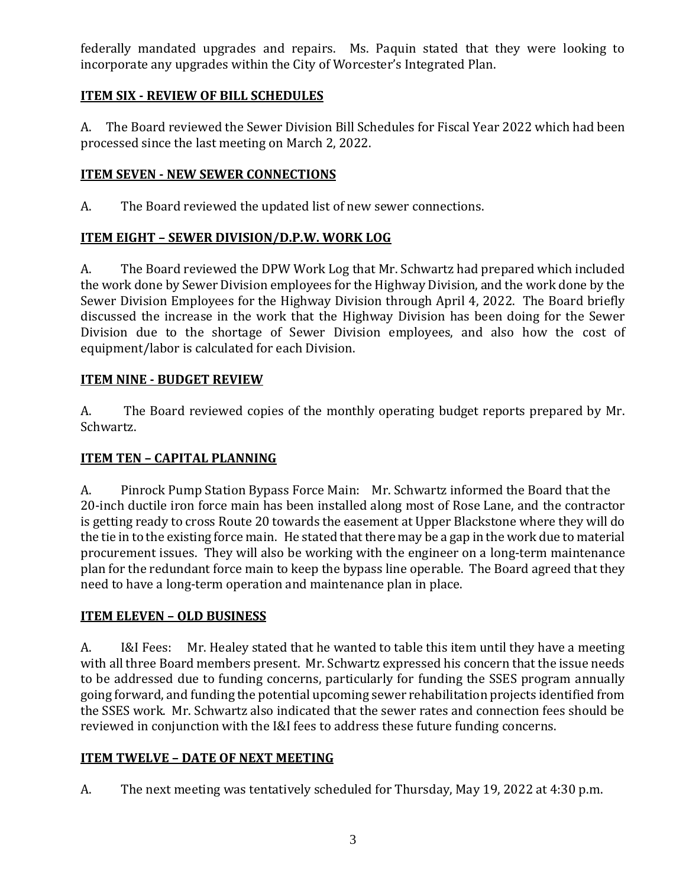federally mandated upgrades and repairs. Ms. Paquin stated that they were looking to incorporate any upgrades within the City of Worcester's Integrated Plan.

# **ITEM SIX - REVIEW OF BILL SCHEDULES**

A. The Board reviewed the Sewer Division Bill Schedules for Fiscal Year 2022 which had been processed since the last meeting on March 2, 2022.

## **ITEM SEVEN - NEW SEWER CONNECTIONS**

A. The Board reviewed the updated list of new sewer connections.

# **ITEM EIGHT – SEWER DIVISION/D.P.W. WORK LOG**

A. The Board reviewed the DPW Work Log that Mr. Schwartz had prepared which included the work done by Sewer Division employees for the Highway Division, and the work done by the Sewer Division Employees for the Highway Division through April 4, 2022. The Board briefly discussed the increase in the work that the Highway Division has been doing for the Sewer Division due to the shortage of Sewer Division employees, and also how the cost of equipment/labor is calculated for each Division.

# **ITEM NINE - BUDGET REVIEW**

A. The Board reviewed copies of the monthly operating budget reports prepared by Mr. Schwartz.

## **ITEM TEN – CAPITAL PLANNING**

A. Pinrock Pump Station Bypass Force Main: Mr. Schwartz informed the Board that the 20-inch ductile iron force main has been installed along most of Rose Lane, and the contractor is getting ready to cross Route 20 towards the easement at Upper Blackstone where they will do the tie in to the existing force main. He stated that there may be a gap in the work due to material procurement issues. They will also be working with the engineer on a long-term maintenance plan for the redundant force main to keep the bypass line operable. The Board agreed that they need to have a long-term operation and maintenance plan in place.

## **ITEM ELEVEN – OLD BUSINESS**

A. I&I Fees: Mr. Healey stated that he wanted to table this item until they have a meeting with all three Board members present. Mr. Schwartz expressed his concern that the issue needs to be addressed due to funding concerns, particularly for funding the SSES program annually going forward, and funding the potential upcoming sewer rehabilitation projects identified from the SSES work. Mr. Schwartz also indicated that the sewer rates and connection fees should be reviewed in conjunction with the I&I fees to address these future funding concerns.

# **ITEM TWELVE – DATE OF NEXT MEETING**

A. The next meeting was tentatively scheduled for Thursday, May 19, 2022 at 4:30 p.m.